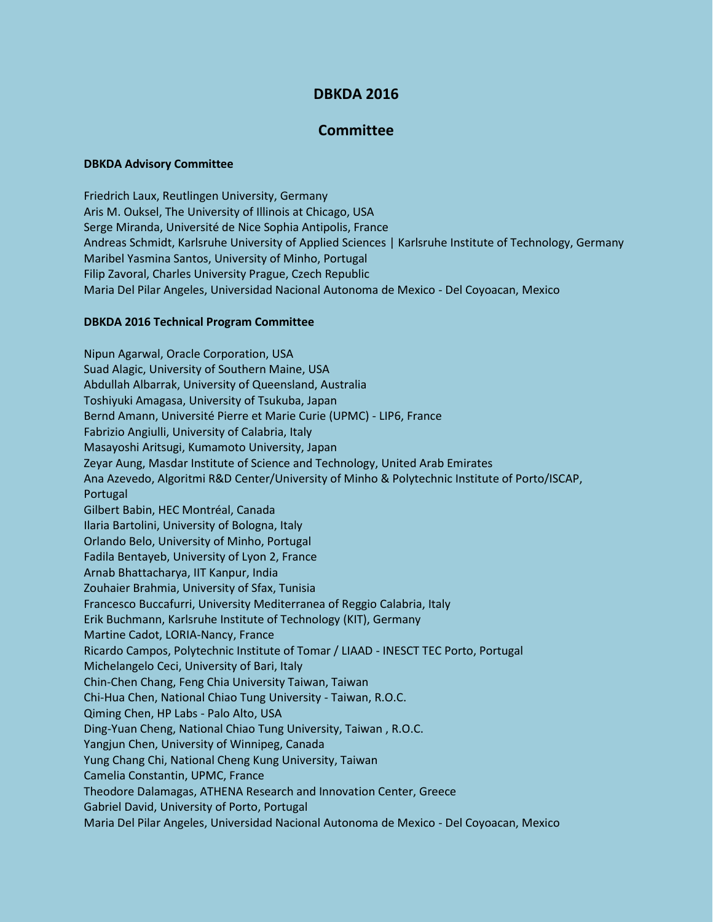# **DBKDA 2016**

## **Committee**

### **DBKDA Advisory Committee**

Friedrich Laux, Reutlingen University, Germany Aris M. Ouksel, The University of Illinois at Chicago, USA Serge Miranda, Université de Nice Sophia Antipolis, France Andreas Schmidt, Karlsruhe University of Applied Sciences | Karlsruhe Institute of Technology, Germany Maribel Yasmina Santos, University of Minho, Portugal Filip Zavoral, Charles University Prague, Czech Republic Maria Del Pilar Angeles, Universidad Nacional Autonoma de Mexico - Del Coyoacan, Mexico

#### **DBKDA 2016 Technical Program Committee**

Nipun Agarwal, Oracle Corporation, USA Suad Alagic, University of Southern Maine, USA Abdullah Albarrak, University of Queensland, Australia Toshiyuki Amagasa, University of Tsukuba, Japan Bernd Amann, Université Pierre et Marie Curie (UPMC) - LIP6, France Fabrizio Angiulli, University of Calabria, Italy Masayoshi Aritsugi, Kumamoto University, Japan Zeyar Aung, Masdar Institute of Science and Technology, United Arab Emirates Ana Azevedo, Algoritmi R&D Center/University of Minho & Polytechnic Institute of Porto/ISCAP, Portugal Gilbert Babin, HEC Montréal, Canada Ilaria Bartolini, University of Bologna, Italy Orlando Belo, University of Minho, Portugal Fadila Bentayeb, University of Lyon 2, France Arnab Bhattacharya, IIT Kanpur, India Zouhaier Brahmia, University of Sfax, Tunisia Francesco Buccafurri, University Mediterranea of Reggio Calabria, Italy Erik Buchmann, Karlsruhe Institute of Technology (KIT), Germany Martine Cadot, LORIA-Nancy, France Ricardo Campos, Polytechnic Institute of Tomar / LIAAD - INESCT TEC Porto, Portugal Michelangelo Ceci, University of Bari, Italy Chin-Chen Chang, Feng Chia University Taiwan, Taiwan Chi-Hua Chen, National Chiao Tung University - Taiwan, R.O.C. Qiming Chen, HP Labs - Palo Alto, USA Ding-Yuan Cheng, National Chiao Tung University, Taiwan , R.O.C. Yangjun Chen, University of Winnipeg, Canada Yung Chang Chi, National Cheng Kung University, Taiwan Camelia Constantin, UPMC, France Theodore Dalamagas, ATHENA Research and Innovation Center, Greece Gabriel David, University of Porto, Portugal Maria Del Pilar Angeles, Universidad Nacional Autonoma de Mexico - Del Coyoacan, Mexico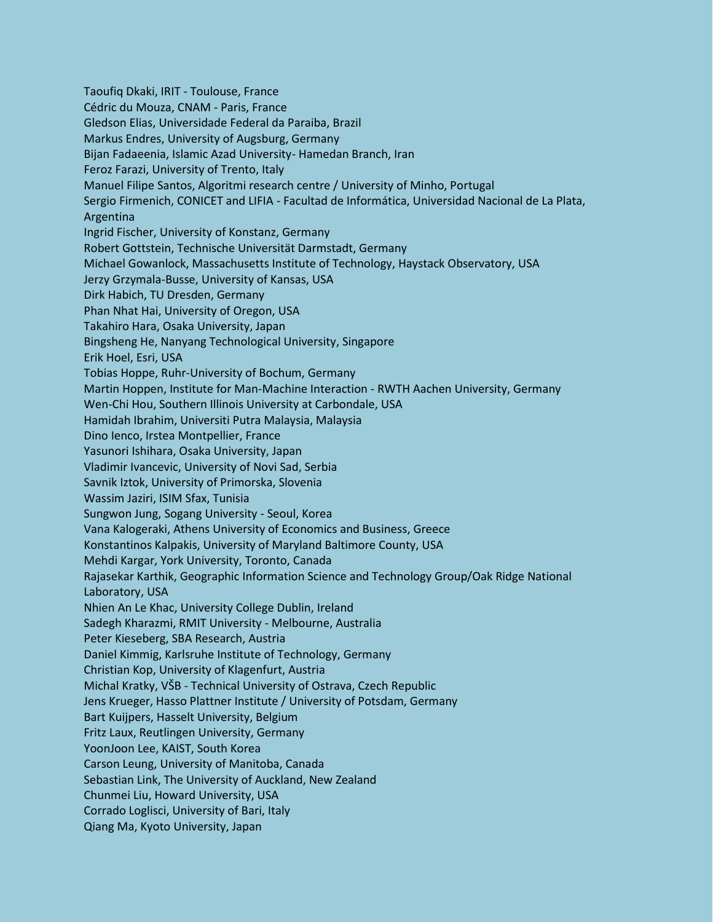Taoufiq Dkaki, IRIT - Toulouse, France Cédric du Mouza, CNAM - Paris, France Gledson Elias, Universidade Federal da Paraiba, Brazil Markus Endres, University of Augsburg, Germany Bijan Fadaeenia, Islamic Azad University- Hamedan Branch, Iran Feroz Farazi, University of Trento, Italy Manuel Filipe Santos, Algoritmi research centre / University of Minho, Portugal Sergio Firmenich, CONICET and LIFIA - Facultad de Informática, Universidad Nacional de La Plata, Argentina Ingrid Fischer, University of Konstanz, Germany Robert Gottstein, Technische Universität Darmstadt, Germany Michael Gowanlock, Massachusetts Institute of Technology, Haystack Observatory, USA Jerzy Grzymala-Busse, University of Kansas, USA Dirk Habich, TU Dresden, Germany Phan Nhat Hai, University of Oregon, USA Takahiro Hara, Osaka University, Japan Bingsheng He, Nanyang Technological University, Singapore Erik Hoel, Esri, USA Tobias Hoppe, Ruhr-University of Bochum, Germany Martin Hoppen, Institute for Man-Machine Interaction - RWTH Aachen University, Germany Wen-Chi Hou, Southern Illinois University at Carbondale, USA Hamidah Ibrahim, Universiti Putra Malaysia, Malaysia Dino Ienco, Irstea Montpellier, France Yasunori Ishihara, Osaka University, Japan Vladimir Ivancevic, University of Novi Sad, Serbia Savnik Iztok, University of Primorska, Slovenia Wassim Jaziri, ISIM Sfax, Tunisia Sungwon Jung, Sogang University - Seoul, Korea Vana Kalogeraki, Athens University of Economics and Business, Greece Konstantinos Kalpakis, University of Maryland Baltimore County, USA Mehdi Kargar, York University, Toronto, Canada Rajasekar Karthik, Geographic Information Science and Technology Group/Oak Ridge National Laboratory, USA Nhien An Le Khac, University College Dublin, Ireland Sadegh Kharazmi, RMIT University - Melbourne, Australia Peter Kieseberg, SBA Research, Austria Daniel Kimmig, Karlsruhe Institute of Technology, Germany Christian Kop, University of Klagenfurt, Austria Michal Kratky, VŠB - Technical University of Ostrava, Czech Republic Jens Krueger, Hasso Plattner Institute / University of Potsdam, Germany Bart Kuijpers, Hasselt University, Belgium Fritz Laux, Reutlingen University, Germany YoonJoon Lee, KAIST, South Korea Carson Leung, University of Manitoba, Canada Sebastian Link, The University of Auckland, New Zealand Chunmei Liu, Howard University, USA Corrado Loglisci, University of Bari, Italy Qiang Ma, Kyoto University, Japan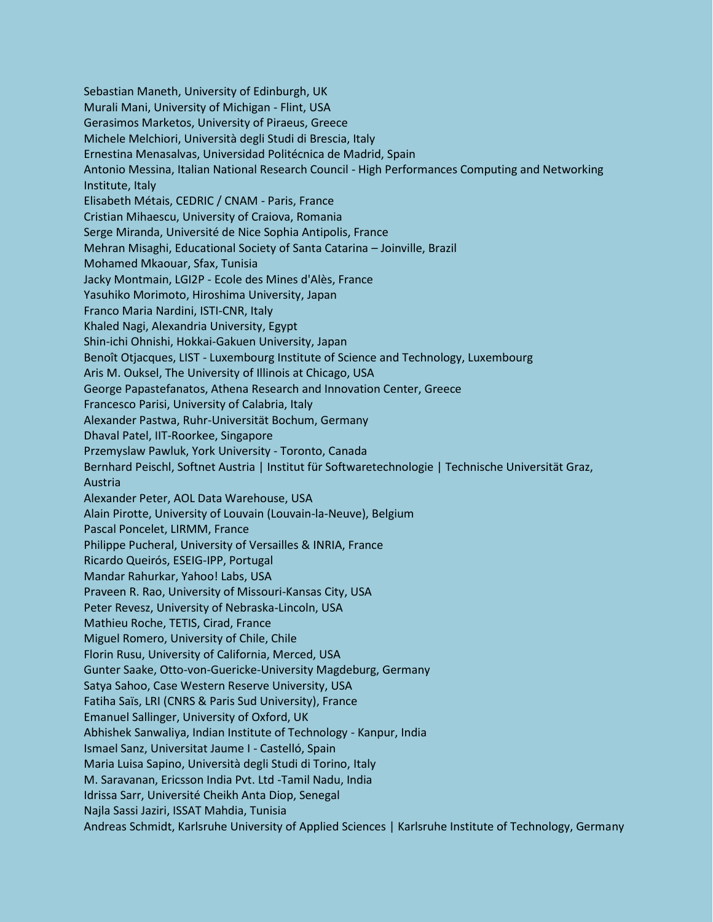Sebastian Maneth, University of Edinburgh, UK Murali Mani, University of Michigan - Flint, USA Gerasimos Marketos, University of Piraeus, Greece Michele Melchiori, Università degli Studi di Brescia, Italy Ernestina Menasalvas, Universidad Politécnica de Madrid, Spain Antonio Messina, Italian National Research Council - High Performances Computing and Networking Institute, Italy Elisabeth Métais, CEDRIC / CNAM - Paris, France Cristian Mihaescu, University of Craiova, Romania Serge Miranda, Université de Nice Sophia Antipolis, France Mehran Misaghi, Educational Society of Santa Catarina – Joinville, Brazil Mohamed Mkaouar, Sfax, Tunisia Jacky Montmain, LGI2P - Ecole des Mines d'Alès, France Yasuhiko Morimoto, Hiroshima University, Japan Franco Maria Nardini, ISTI-CNR, Italy Khaled Nagi, Alexandria University, Egypt Shin-ichi Ohnishi, Hokkai-Gakuen University, Japan Benoît Otjacques, LIST - Luxembourg Institute of Science and Technology, Luxembourg Aris M. Ouksel, The University of Illinois at Chicago, USA George Papastefanatos, Athena Research and Innovation Center, Greece Francesco Parisi, University of Calabria, Italy Alexander Pastwa, Ruhr-Universität Bochum, Germany Dhaval Patel, IIT-Roorkee, Singapore Przemyslaw Pawluk, York University - Toronto, Canada Bernhard Peischl, Softnet Austria | Institut für Softwaretechnologie | Technische Universität Graz, Austria Alexander Peter, AOL Data Warehouse, USA Alain Pirotte, University of Louvain (Louvain-la-Neuve), Belgium Pascal Poncelet, LIRMM, France Philippe Pucheral, University of Versailles & INRIA, France Ricardo Queirós, ESEIG-IPP, Portugal Mandar Rahurkar, Yahoo! Labs, USA Praveen R. Rao, University of Missouri-Kansas City, USA Peter Revesz, University of Nebraska-Lincoln, USA Mathieu Roche, TETIS, Cirad, France Miguel Romero, University of Chile, Chile Florin Rusu, University of California, Merced, USA Gunter Saake, Otto-von-Guericke-University Magdeburg, Germany Satya Sahoo, Case Western Reserve University, USA Fatiha Saïs, LRI (CNRS & Paris Sud University), France Emanuel Sallinger, University of Oxford, UK Abhishek Sanwaliya, Indian Institute of Technology - Kanpur, India Ismael Sanz, Universitat Jaume I - Castelló, Spain Maria Luisa Sapino, Università degli Studi di Torino, Italy M. Saravanan, Ericsson India Pvt. Ltd -Tamil Nadu, India Idrissa Sarr, Université Cheikh Anta Diop, Senegal Najla Sassi Jaziri, ISSAT Mahdia, Tunisia Andreas Schmidt, Karlsruhe University of Applied Sciences | Karlsruhe Institute of Technology, Germany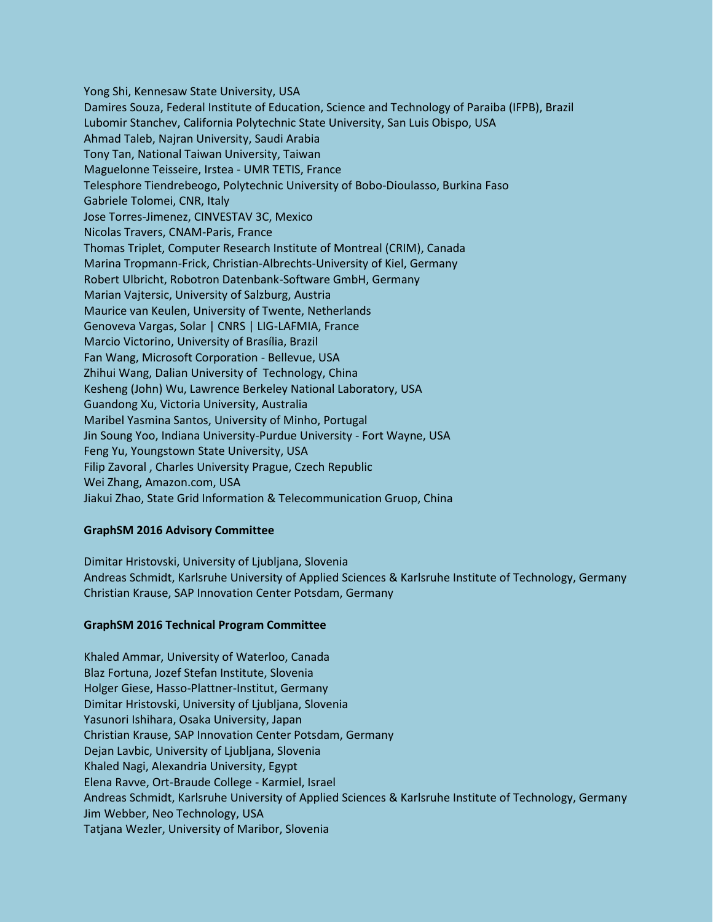Yong Shi, Kennesaw State University, USA Damires Souza, Federal Institute of Education, Science and Technology of Paraiba (IFPB), Brazil Lubomir Stanchev, California Polytechnic State University, San Luis Obispo, USA Ahmad Taleb, Najran University, Saudi Arabia Tony Tan, National Taiwan University, Taiwan Maguelonne Teisseire, Irstea - UMR TETIS, France Telesphore Tiendrebeogo, Polytechnic University of Bobo-Dioulasso, Burkina Faso Gabriele Tolomei, CNR, Italy Jose Torres-Jimenez, CINVESTAV 3C, Mexico Nicolas Travers, CNAM-Paris, France Thomas Triplet, Computer Research Institute of Montreal (CRIM), Canada Marina Tropmann-Frick, Christian-Albrechts-University of Kiel, Germany Robert Ulbricht, Robotron Datenbank-Software GmbH, Germany Marian Vajtersic, University of Salzburg, Austria Maurice van Keulen, University of Twente, Netherlands Genoveva Vargas, Solar | CNRS | LIG-LAFMIA, France Marcio Victorino, University of Brasília, Brazil Fan Wang, Microsoft Corporation - Bellevue, USA Zhihui Wang, Dalian University of Technology, China Kesheng (John) Wu, Lawrence Berkeley National Laboratory, USA Guandong Xu, Victoria University, Australia Maribel Yasmina Santos, University of Minho, Portugal Jin Soung Yoo, Indiana University-Purdue University - Fort Wayne, USA Feng Yu, Youngstown State University, USA Filip Zavoral , Charles University Prague, Czech Republic Wei Zhang, Amazon.com, USA Jiakui Zhao, State Grid Information & Telecommunication Gruop, China

## **GraphSM 2016 Advisory Committee**

Dimitar Hristovski, University of Ljubljana, Slovenia Andreas Schmidt, Karlsruhe University of Applied Sciences & Karlsruhe Institute of Technology, Germany Christian Krause, SAP Innovation Center Potsdam, Germany

## **GraphSM 2016 Technical Program Committee**

Khaled Ammar, University of Waterloo, Canada Blaz Fortuna, Jozef Stefan Institute, Slovenia Holger Giese, Hasso-Plattner-Institut, Germany Dimitar Hristovski, University of Ljubljana, Slovenia Yasunori Ishihara, Osaka University, Japan Christian Krause, SAP Innovation Center Potsdam, Germany Dejan Lavbic, University of Ljubljana, Slovenia Khaled Nagi, Alexandria University, Egypt Elena Ravve, Ort-Braude College - Karmiel, Israel Andreas Schmidt, Karlsruhe University of Applied Sciences & Karlsruhe Institute of Technology, Germany Jim Webber, Neo Technology, USA Tatjana Wezler, University of Maribor, Slovenia